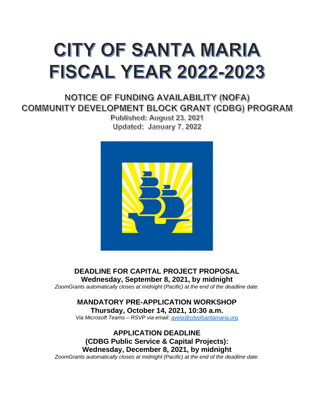# CITY OF SANTA MARIA **FISCAL YEAR 2022-2023**

NOTICE OF FUNDING AVAILABILITY (NOFA) COMMUNITY DEVELOPMENT BLOCK GRANT (CDBG) PROGRAM

> Published: August 23, 2021 Updated: January 7, 2022



**DEADLINE FOR CAPITAL PROJECT PROPOSAL Wednesday, September 8, 2021, by midnight** *ZoomGrants automatically closes at midnight (Pacific) at the end of the deadline date.*

**MANDATORY PRE-APPLICATION WORKSHOP Thursday, October 14, 2021, 10:30 a.m.**

*Via Microsoft Teams – RSVP via email: [avela@cityofsantamaria.org](mailto:avela@cityofsantamaria.org)*

**APPLICATION DEADLINE (CDBG Public Service & Capital Projects): Wednesday, December 8, 2021, by midnight**  *ZoomGrants automatically closes at midnight (Pacific) at the end of the deadline date.*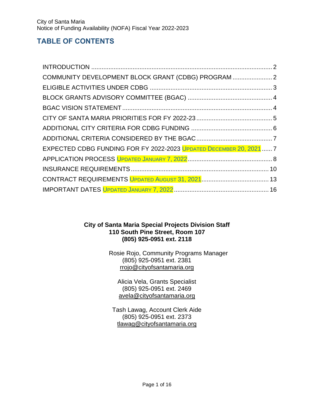# **TABLE OF CONTENTS**

| COMMUNITY DEVELOPMENT BLOCK GRANT (CDBG) PROGRAM  2                |  |
|--------------------------------------------------------------------|--|
|                                                                    |  |
|                                                                    |  |
|                                                                    |  |
|                                                                    |  |
|                                                                    |  |
|                                                                    |  |
| EXPECTED CDBG FUNDING FOR FY 2022-2023 UPDATED DECEMBER 20, 2021 7 |  |
|                                                                    |  |
|                                                                    |  |
|                                                                    |  |
|                                                                    |  |

#### **City of Santa Maria Special Projects Division Staff 110 South Pine Street, Room 107 (805) 925-0951 ext. 2118**

Rosie Rojo, Community Programs Manager (805) 925-0951 ext. 2381 [rrojo@cityofsantamaria.org](mailto:rrojo@cityofsantamaria.org)

Alicia Vela, Grants Specialist (805) 925-0951 ext. 2469 [avela@cityofsantamaria.org](mailto:avela@cityofsantamaria.org)

Tash Lawag, Account Clerk Aide (805) 925-0951 ext. 2373 [tlawag@cityofsantamaria.org](mailto:tlawag@cityofsantamaria.org)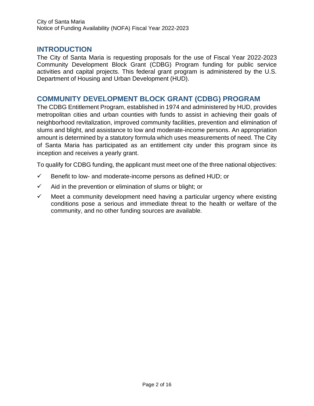# <span id="page-2-0"></span>**INTRODUCTION**

The City of Santa Maria is requesting proposals for the use of Fiscal Year 2022-2023 Community Development Block Grant (CDBG) Program funding for public service activities and capital projects. This federal grant program is administered by the U.S. Department of Housing and Urban Development (HUD).

# <span id="page-2-1"></span>**COMMUNITY DEVELOPMENT BLOCK GRANT (CDBG) PROGRAM**

The CDBG Entitlement Program, established in 1974 and administered by HUD, provides metropolitan cities and urban counties with funds to assist in achieving their goals of neighborhood revitalization, improved community facilities, prevention and elimination of slums and blight, and assistance to low and moderate-income persons. An appropriation amount is determined by a statutory formula which uses measurements of need. The City of Santa Maria has participated as an entitlement city under this program since its inception and receives a yearly grant.

To qualify for CDBG funding, the applicant must meet one of the three national objectives:

- $\checkmark$  Benefit to low- and moderate-income persons as defined HUD; or
- $\checkmark$  Aid in the prevention or elimination of slums or blight; or
- $\checkmark$  Meet a community development need having a particular urgency where existing conditions pose a serious and immediate threat to the health or welfare of the community, and no other funding sources are available.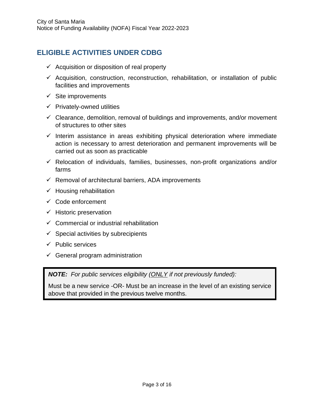# <span id="page-3-0"></span>**ELIGIBLE ACTIVITIES UNDER CDBG**

- $\checkmark$  Acquisition or disposition of real property
- $\checkmark$  Acquisition, construction, reconstruction, rehabilitation, or installation of public facilities and improvements
- $\checkmark$  Site improvements
- $\checkmark$  Privately-owned utilities
- $\checkmark$  Clearance, demolition, removal of buildings and improvements, and/or movement of structures to other sites
- $\checkmark$  Interim assistance in areas exhibiting physical deterioration where immediate action is necessary to arrest deterioration and permanent improvements will be carried out as soon as practicable
- ✓ Relocation of individuals, families, businesses, non-profit organizations and/or farms
- $\checkmark$  Removal of architectural barriers, ADA improvements
- $\checkmark$  Housing rehabilitation
- ✓ Code enforcement
- $\checkmark$  Historic preservation
- $\checkmark$  Commercial or industrial rehabilitation
- $\checkmark$  Special activities by subrecipients
- $\checkmark$  Public services
- $\checkmark$  General program administration

*NOTE: For public services eligibility (ONLY if not previously funded):*

Must be a new service -OR- Must be an increase in the level of an existing service above that provided in the previous twelve months.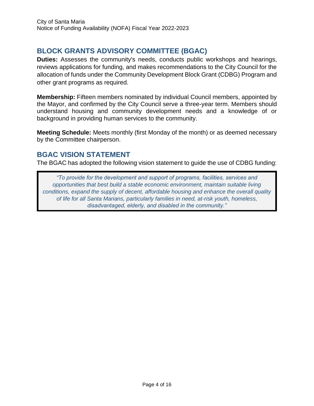# <span id="page-4-0"></span>**BLOCK GRANTS ADVISORY COMMITTEE (BGAC)**

**Duties:** Assesses the community's needs, conducts public workshops and hearings, reviews applications for funding, and makes recommendations to the City Council for the allocation of funds under the Community Development Block Grant (CDBG) Program and other grant programs as required.

**Membership:** Fifteen members nominated by individual Council members, appointed by the Mayor, and confirmed by the City Council serve a three-year term. Members should understand housing and community development needs and a knowledge of or background in providing human services to the community.

**Meeting Schedule:** Meets monthly (first Monday of the month) or as deemed necessary by the Committee chairperson.

# <span id="page-4-1"></span>**BGAC VISION STATEMENT**

The BGAC has adopted the following vision statement to guide the use of CDBG funding:

*"To provide for the development and support of programs, facilities, services and opportunities that best build a stable economic environment, maintain suitable living conditions, expand the supply of decent, affordable housing and enhance the overall quality of life for all Santa Marians, particularly families in need, at-risk youth, homeless, disadvantaged, elderly, and disabled in the community."*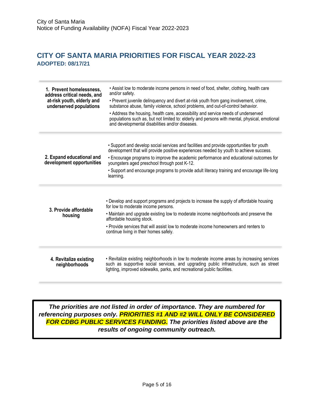# <span id="page-5-0"></span>**CITY OF SANTA MARIA PRIORITIES FOR FISCAL YEAR 2022-23 ADOPTED: 08/17/21**

| 1. Prevent homelessness,<br>address critical needs, and<br>at-risk youth, elderly and<br>underserved populations | • Assist low to moderate income persons in need of food, shelter, clothing, health care<br>and/or safety.<br>. Prevent juvenile delinguency and divert at-risk youth from gang involvement, crime,<br>substance abuse, family violence, school problems, and out-of-control behavior.<br>• Address the housing, health care, accessibility and service needs of underserved<br>populations such as, but not limited to: elderly and persons with mental, physical, emotional<br>and developmental disabilities and/or diseases. |
|------------------------------------------------------------------------------------------------------------------|---------------------------------------------------------------------------------------------------------------------------------------------------------------------------------------------------------------------------------------------------------------------------------------------------------------------------------------------------------------------------------------------------------------------------------------------------------------------------------------------------------------------------------|
| 2. Expand educational and<br>development opportunities                                                           | . Support and develop social services and facilities and provide opportunities for youth<br>development that will provide positive experiences needed by youth to achieve success.<br>• Encourage programs to improve the academic performance and educational outcomes for<br>youngsters aged preschool through post K-12.<br>. Support and encourage programs to provide adult literacy training and encourage life-long<br>learning.                                                                                         |
| 3. Provide affordable<br>housing                                                                                 | • Develop and support programs and projects to increase the supply of affordable housing<br>for low to moderate income persons.<br>• Maintain and upgrade existing low to moderate income neighborhoods and preserve the<br>affordable housing stock.<br>• Provide services that will assist low to moderate income homeowners and renters to<br>continue living in their homes safely.                                                                                                                                         |
| 4. Revitalize existing<br>neighborhoods                                                                          | • Revitalize existing neighborhoods in low to moderate income areas by increasing services<br>such as supportive social services, and upgrading public infrastructure, such as street<br>lighting, improved sidewalks, parks, and recreational public facilities.                                                                                                                                                                                                                                                               |

*The priorities are not listed in order of importance. They are numbered for referencing purposes only. PRIORITIES #1 AND #2 WILL ONLY BE CONSIDERED FOR CDBG PUBLIC SERVICES FUNDING. The priorities listed above are the results of ongoing community outreach.*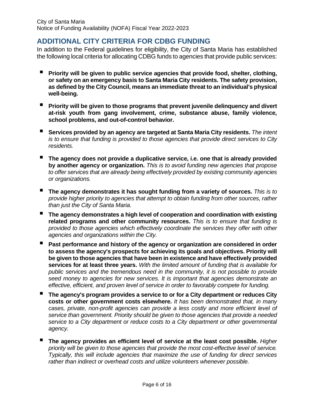# <span id="page-6-0"></span>**ADDITIONAL CITY CRITERIA FOR CDBG FUNDING**

In addition to the Federal guidelines for eligibility, the City of Santa Maria has established the following local criteria for allocating CDBG funds to agencies that provide public services:

- Priority will be given to public service agencies that provide food, shelter, clothing, **or safety on an emergency basis to Santa Maria City residents. The safety provision, as defined by the City Council, means an immediate threat to an individual's physical well-being.**
- Priority will be given to those programs that prevent juvenile delinquency and divert **at-risk youth from gang involvement, crime, substance abuse, family violence, school problems, and out-of-control behavior.**
- Services provided by an agency are targeted at Santa Maria City residents. The intent *is to ensure that funding is provided to those agencies that provide direct services to City residents.*
- The agency does not provide a duplicative service, i.e. one that is already provided **by another agency or organization.** *This is to avoid funding new agencies that propose to offer services that are already being effectively provided by existing community agencies or organizations.*
- The agency demonstrates it has sought funding from a variety of sources. This is to *provide higher priority to agencies that attempt to obtain funding from other sources, rather than just the City of Santa Maria.*
- **The agency demonstrates a high level of cooperation and coordination with existing related programs and other community resources.** *This is to ensure that funding is provided to those agencies which effectively coordinate the services they offer with other agencies and organizations within the City.*
- Past performance and history of the agency or organization are considered in order **to assess the agency's prospects for achieving its goals and objectives. Priority will be given to those agencies that have been in existence and have effectively provided services for at least three years.** *With the limited amount of funding that is available for public services and the tremendous need in the community, it is not possible to provide seed money to agencies for new services. It is important that agencies demonstrate an effective, efficient, and proven level of service in order to favorably compete for funding.*
- **The agency's program provides a service to or for a City department or reduces City costs or other government costs elsewhere.** *It has been demonstrated that, in many cases, private, non-profit agencies can provide a less costly and more efficient level of service than government. Priority should be given to those agencies that provide a needed service to a City department or reduce costs to a City department or other governmental agency.*
- The agency provides an efficient level of service at the least cost possible. *Higher priority will be given to those agencies that provide the most cost-effective level of service. Typically, this will include agencies that maximize the use of funding for direct services rather than indirect or overhead costs and utilize volunteers whenever possible.*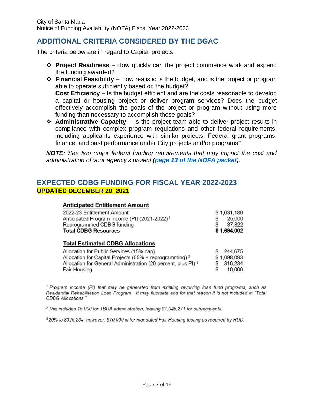# <span id="page-7-0"></span>**ADDITIONAL CRITERIA CONSIDERED BY THE BGAC**

The criteria below are in regard to Capital projects.

- ❖ **Project Readiness** How quickly can the project commence work and expend the funding awarded?
- ❖ **Financial Feasibility** How realistic is the budget, and is the project or program able to operate sufficiently based on the budget? **Cost Efficiency** – Is the budget efficient and are the costs reasonable to develop a capital or housing project or deliver program services? Does the budget effectively accomplish the goals of the project or program without using more funding than necessary to accomplish those goals?
- ❖ **Administrative Capacity** Is the project team able to deliver project results in compliance with complex program regulations and other federal requirements, including applicants experience with similar projects, Federal grant programs, finance, and past performance under City projects and/or programs?

*NOTE: See two major federal funding requirements that may impact the cost and administration of your agency's project [\(page 13 of the NOFA packet\)](#page-13-0).*

# <span id="page-7-1"></span>**EXPECTED CDBG FUNDING FOR FISCAL YEAR 2022-2023 UPDATED DECEMBER 20, 2021**

#### **Anticipated Entitlement Amount**

| 2022-23 Entitlement Amount<br>Anticipated Program Income (PI) (2021-2022) <sup>1</sup><br>Reprogrammed CDBG funding<br><b>Total CDBG Resources</b> | \$1,631,180<br>25,000<br>s<br>37,822<br>\$1,694,002 |
|----------------------------------------------------------------------------------------------------------------------------------------------------|-----------------------------------------------------|
| <b>Total Estimated CDBG Allocations</b>                                                                                                            |                                                     |
| Allocation for Public Services (15% cap)                                                                                                           | 244,675                                             |
| Allocation for Capital Projects (65% + reprogramming) <sup>2</sup>                                                                                 | \$1,098,093                                         |
| Allocation for General Administration (20 percent, plus PI) <sup>3</sup>                                                                           | 316,234                                             |
| Fair Housing                                                                                                                                       | 10.000                                              |

<sup>1</sup> Program income (PI) that may be generated from existing revolving loan fund programs, such as Residential Rehabilitation Loan Program. It may fluctuate and for that reason it is not included in "Total CDBG Allocations."

<sup>2</sup> This includes 15,000 for TBRA administration, leaving \$1,045,271 for subrecipients.

<sup>3</sup> 20% is \$326,234; however, \$10,000 is for mandated Fair Housing testing as required by HUD.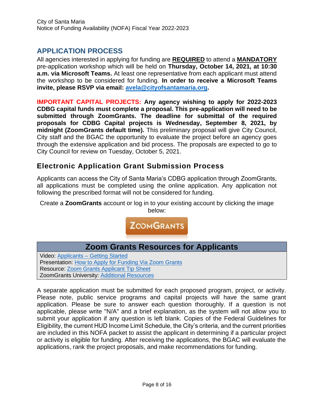# <span id="page-8-0"></span>**APPLICATION PROCESS**

All agencies interested in applying for funding are **REQUIRED** to attend a **MANDATORY** pre-application workshop which will be held on **Thursday, October 14, 2021, at 10:30 a.m. via Microsoft Teams.** At least one representative from each applicant must attend the workshop to be considered for funding. **In order to receive a Microsoft Teams invite, please RSVP via email: [avela@cityofsantamaria.org.](mailto:avela@cityofsantamaria.org)**

**IMPORTANT CAPITAL PROJECTS: Any agency wishing to apply for 2022-2023 CDBG capital funds must complete a proposal. This pre-application will need to be submitted through ZoomGrants. The deadline for submittal of the required proposals for CDBG Capital projects is Wednesday, September 8, 2021, by midnight (ZoomGrants default time).** This preliminary proposal will give City Council, City staff and the BGAC the opportunity to evaluate the project before an agency goes through the extensive application and bid process. The proposals are expected to go to City Council for review on Tuesday, October 5, 2021.

# **Electronic Application Grant Submission Process**

Applicants can access the City of Santa Maria's CDBG application through ZoomGrants, all applications must be completed using the online application. Any application not following the prescribed format will not be considered for funding.

Create a **ZoomGrants** account or log in to your existing account by clicking the image below:



| <b>Zoom Grants Resources for Applicants</b>            |
|--------------------------------------------------------|
| Video: Applicants - Getting Started                    |
| Presentation: How to Apply for Funding Via Zoom Grants |
| <b>Resource: Zoom Grants Applicant Tip Sheet</b>       |
| <b>ZoomGrants University: Additional Resources</b>     |
|                                                        |

A separate application must be submitted for each proposed program, project, or activity. Please note, public service programs and capital projects will have the same grant application. Please be sure to answer each question thoroughly. If a question is not applicable, please write "N/A" and a brief explanation, as the system will not allow you to submit your application if any question is left blank. Copies of the Federal Guidelines for Eligibility, the current HUD Income Limit Schedule, the City's criteria, and the current priorities are included in this NOFA packet to assist the applicant in determining if a particular project or activity is eligible for funding. After receiving the applications, the BGAC will evaluate the applications, rank the project proposals, and make recommendations for funding.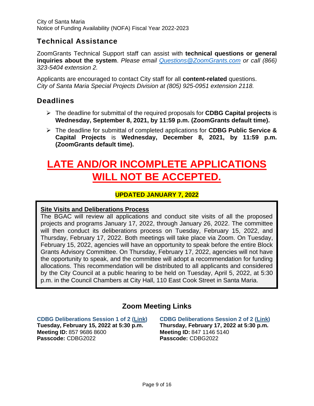# **Technical Assistance**

ZoomGrants Technical Support staff can assist with **technical questions or general inquiries about the system**. *Please email [Questions@ZoomGrants.com](mailto:Questions@ZoomGrants.com) or call (866) 323-5404 extension 2.*

Applicants are encouraged to contact City staff for all **content-related** questions. *City of Santa Maria Special Projects Division at (805) 925-0951 extension 2118.*

# **Deadlines**

- ➢ The deadline for submittal of the required proposals for **CDBG Capital projects** is **Wednesday, September 8, 2021, by 11:59 p.m. (ZoomGrants default time).**
- ➢ The deadline for submittal of completed applications for **CDBG Public Service & Capital Projects** is **Wednesday, December 8, 2021, by 11:59 p.m. (ZoomGrants default time).**

# **LATE AND/OR INCOMPLETE APPLICATIONS WILL NOT BE ACCEPTED.**

#### **UPDATED JANUARY 7, 2022**

#### **Site Visits and Deliberations Process**

The BGAC will review all applications and conduct site visits of all the proposed projects and programs January 17, 2022, through January 26, 2022. The committee will then conduct its deliberations process on Tuesday, February 15, 2022, and Thursday, February 17, 2022. Both meetings will take place via Zoom. On Tuesday, February 15, 2022, agencies will have an opportunity to speak before the entire Block Grants Advisory Committee. On Thursday, February 17, 2022, agencies will not have the opportunity to speak, and the committee will adopt a recommendation for funding allocations. This recommendation will be distributed to all applicants and considered by the City Council at a public hearing to be held on Tuesday, April 5, 2022, at 5:30 p.m. in the Council Chambers at City Hall, 110 East Cook Street in Santa Maria.

# **Zoom Meeting Links**

**CDBG Deliberations Session 1 of 2 [\(Link\)](https://us06web.zoom.us/j/85796868600?pwd=eGkrYUpZUUN2a0I5ZmM0MjFIWWNyUT09)**

**Tuesday, February 15, 2022 at 5:30 p.m. Meeting ID:** 857 9686 8600 **Passcode:** CDBG2022

**CDBG Deliberations Session 2 of 2 [\(Link\)](https://us06web.zoom.us/j/84711465140?pwd=TkxMT0E0NW9HcG5Ta3BjK251dktkQT09) Thursday, February 17, 2022 at 5:30 p.m. Meeting ID:** 847 1146 5140 **Passcode:** CDBG2022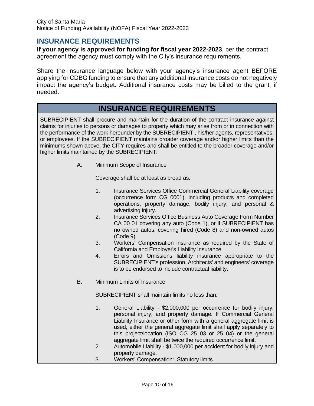#### <span id="page-10-0"></span>**INSURANCE REQUIREMENTS**

**If your agency is approved for funding for fiscal year 2022-2023**, per the contract agreement the agency must comply with the City's insurance requirements.

Share the insurance language below with your agency's insurance agent BEFORE applying for CDBG funding to ensure that any additional insurance costs do not negatively impact the agency's budget. Additional insurance costs may be billed to the grant, if needed.

# **INSURANCE REQUIREMENTS**

SUBRECIPIENT shall procure and maintain for the duration of the contract insurance against claims for injuries to persons or damages to property which may arise from or in connection with the performance of the work hereunder by the SUBRECIPIENT , his/her agents, representatives, or employees. If the SUBRECIPIENT maintains broader coverage and/or higher limits than the minimums shown above, the CITY requires and shall be entitled to the broader coverage and/or higher limits maintained by the SUBRECIPIENT.

A. Minimum Scope of Insurance

Coverage shall be at least as broad as:

- 1. Insurance Services Office Commercial General Liability coverage (occurrence form CG 0001), including products and completed operations, property damage, bodily injury, and personal & advertising injury.
- 2. Insurance Services Office Business Auto Coverage Form Number CA 00 01 covering any auto (Code 1), or if SUBRECIPIENT has no owned autos, covering hired (Code 8) and non-owned autos (Code 9).
- 3. Workers' Compensation insurance as required by the State of California and Employer's Liability Insurance.
- 4. Errors and Omissions liability insurance appropriate to the SUBRECIPIENT's profession. Architects' and engineers' coverage is to be endorsed to include contractual liability.
- B. Minimum Limits of Insurance

SUBRECIPIENT shall maintain limits no less than:

- 1. General Liability \$2,000,000 per occurrence for bodily injury, personal injury, and property damage. If Commercial General Liability Insurance or other form with a general aggregate limit is used, either the general aggregate limit shall apply separately to this project/location (ISO CG 25 03 or 25 04) or the general aggregate limit shall be twice the required occurrence limit.
- 2. Automobile Liability \$1,000,000 per accident for bodily injury and property damage.
- 3. Workers' Compensation: Statutory limits.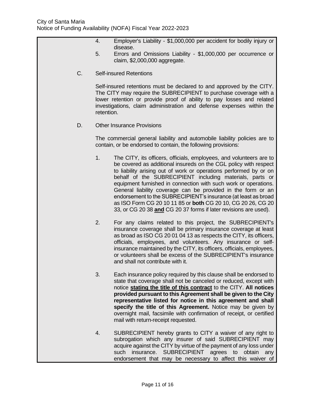- 4. Employer's Liability \$1,000,000 per accident for bodily injury or disease.
- 5. Errors and Omissions Liability \$1,000,000 per occurrence or claim, \$2,000,000 aggregate.
- C. Self-insured Retentions

Self-insured retentions must be declared to and approved by the CITY. The CITY may require the SUBRECIPIENT to purchase coverage with a lower retention or provide proof of ability to pay losses and related investigations, claim administration and defense expenses within the retention.

D. Other Insurance Provisions

The commercial general liability and automobile liability policies are to contain, or be endorsed to contain, the following provisions:

- 1. The CITY, its officers, officials, employees, and volunteers are to be covered as additional insureds on the CGL policy with respect to liability arising out of work or operations performed by or on behalf of the SUBRECIPIENT including materials, parts or equipment furnished in connection with such work or operations. General liability coverage can be provided in the form or an endorsement to the SUBRECIPIENT's insurance (at least as broad as ISO Form CG 20 10 11 85 or **both** CG 20 10, CG 20 26, CG 20 33, or CG 20 38 **and** CG 20 37 forms if later revisions are used).
- 2. For any claims related to this project, the SUBRECIPIENT's insurance coverage shall be primary insurance coverage at least as broad as ISO CG 20 01 04 13 as respects the CITY, its officers, officials, employees, and volunteers. Any insurance or selfinsurance maintained by the CITY, its officers, officials, employees, or volunteers shall be excess of the SUBRECIPIENT's insurance and shall not contribute with it.
- 3. Each insurance policy required by this clause shall be endorsed to state that coverage shall not be canceled or reduced, except with notice **stating the title of this contract** to the CITY. **All notices provided pursuant to this Agreement shall be given to the City representative listed for notice in this agreement and shall specify the title of this Agreement.** Notice may be given by overnight mail, facsimile with confirmation of receipt, or certified mail with return-receipt requested.
- 4. SUBRECIPIENT hereby grants to CITY a waiver of any right to subrogation which any insurer of said SUBRECIPIENT may acquire against the CITY by virtue of the payment of any loss under such insurance. SUBRECIPIENT agrees to obtain any endorsement that may be necessary to affect this waiver of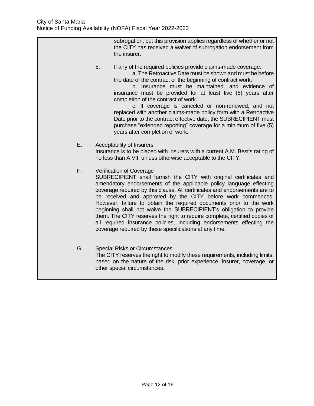subrogation, but this provision applies regardless of whether or not the CITY has received a waiver of subrogation endorsement from the insurer. 5. If any of the required policies provide claims-made coverage: a. The Retroactive Date must be shown and must be before the date of the contract or the beginning of contract work. b. Insurance must be maintained, and evidence of insurance must be provided for at least five (5) years after completion of the contract of work. c. If coverage is canceled or non-renewed, and not replaced with another claims-made policy form with a Retroactive Date prior to the contract effective date, the SUBRECIPIENT must purchase "extended reporting" coverage for a minimum of five (5) years after completion of work. E. Acceptability of Insurers Insurance is to be placed with insurers with a current A.M. Best's rating of no less than A:VII, unless otherwise acceptable to the CITY. F. Verification of Coverage SUBRECIPIENT shall furnish the CITY with original certificates and amendatory endorsements of the applicable policy language effecting coverage required by this clause. All certificates and endorsements are to be received and approved by the CITY before work commences. However, failure to obtain the required documents prior to the work beginning shall not waive the SUBRECIPIENT's obligation to provide them. The CITY reserves the right to require complete, certified copies of all required insurance policies, including endorsements effecting the coverage required by these specifications at any time. G. Special Risks or Circumstances The CITY reserves the right to modify these requirements, including limits, based on the nature of the risk, prior experience, insurer, coverage, or other special circumstances.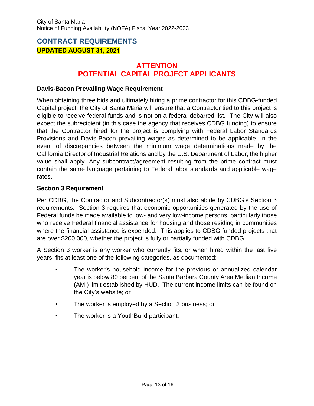# <span id="page-13-0"></span>**CONTRACT REQUIREMENTS UPDATED AUGUST 31, 2021**

# **ATTENTION POTENTIAL CAPITAL PROJECT APPLICANTS**

#### **Davis-Bacon Prevailing Wage Requirement**

When obtaining three bids and ultimately hiring a prime contractor for this CDBG-funded Capital project, the City of Santa Maria will ensure that a Contractor tied to this project is eligible to receive federal funds and is not on a federal debarred list. The City will also expect the subrecipient (in this case the agency that receives CDBG funding) to ensure that the Contractor hired for the project is complying with Federal Labor Standards Provisions and Davis-Bacon prevailing wages as determined to be applicable. In the event of discrepancies between the minimum wage determinations made by the California Director of Industrial Relations and by the U.S. Department of Labor, the higher value shall apply. Any subcontract/agreement resulting from the prime contract must contain the same language pertaining to Federal labor standards and applicable wage rates.

#### **Section 3 Requirement**

Per CDBG, the Contractor and Subcontractor(s) must also abide by CDBG's Section 3 requirements. Section 3 requires that economic opportunities generated by the use of Federal funds be made available to low- and very low-income persons, particularly those who receive Federal financial assistance for housing and those residing in communities where the financial assistance is expended. This applies to CDBG funded projects that are over \$200,000, whether the project is fully or partially funded with CDBG.

A Section 3 worker is any worker who currently fits, or when hired within the last five years, fits at least one of the following categories, as documented:

- The worker's household income for the previous or annualized calendar year is below 80 percent of the Santa Barbara County Area Median Income (AMI) limit established by HUD. The current income limits can be found on the City's website; or
- The worker is employed by a Section 3 business; or
- The worker is a YouthBuild participant.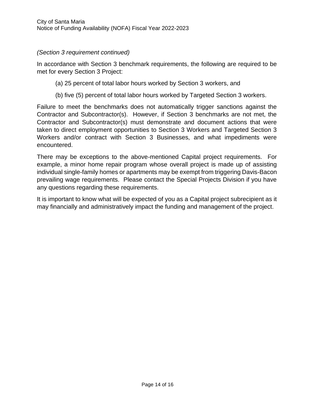#### *(Section 3 requirement continued)*

In accordance with Section 3 benchmark requirements, the following are required to be met for every Section 3 Project:

- (a) 25 percent of total labor hours worked by Section 3 workers, and
- (b) five (5) percent of total labor hours worked by Targeted Section 3 workers.

Failure to meet the benchmarks does not automatically trigger sanctions against the Contractor and Subcontractor(s). However, if Section 3 benchmarks are not met, the Contractor and Subcontractor(s) must demonstrate and document actions that were taken to direct employment opportunities to Section 3 Workers and Targeted Section 3 Workers and/or contract with Section 3 Businesses, and what impediments were encountered.

There may be exceptions to the above-mentioned Capital project requirements. For example, a minor home repair program whose overall project is made up of assisting individual single-family homes or apartments may be exempt from triggering Davis-Bacon prevailing wage requirements. Please contact the Special Projects Division if you have any questions regarding these requirements.

It is important to know what will be expected of you as a Capital project subrecipient as it may financially and administratively impact the funding and management of the project.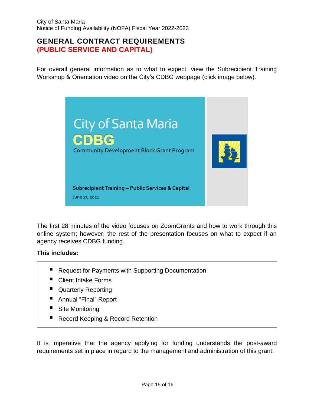# **GENERAL CONTRACT REQUIREMENTS (PUBLIC SERVICE AND CAPITAL)**

For overall general information as to what to expect, view the Subrecipient Training Workshop & Orientation video on the City's CDBG webpage (click image below).



The first 28 minutes of the video focuses on ZoomGrants and how to work through this online system; however, the rest of the presentation focuses on what to expect if an agency receives CDBG funding.

#### **This includes:**

- **Request for Payments with Supporting Documentation**
- Client Intake Forms
- **Quarterly Reporting**
- Annual "Final" Report
- **Site Monitoring**
- **Record Keeping & Record Retention**

It is imperative that the agency applying for funding understands the post-award requirements set in place in regard to the management and administration of this grant.